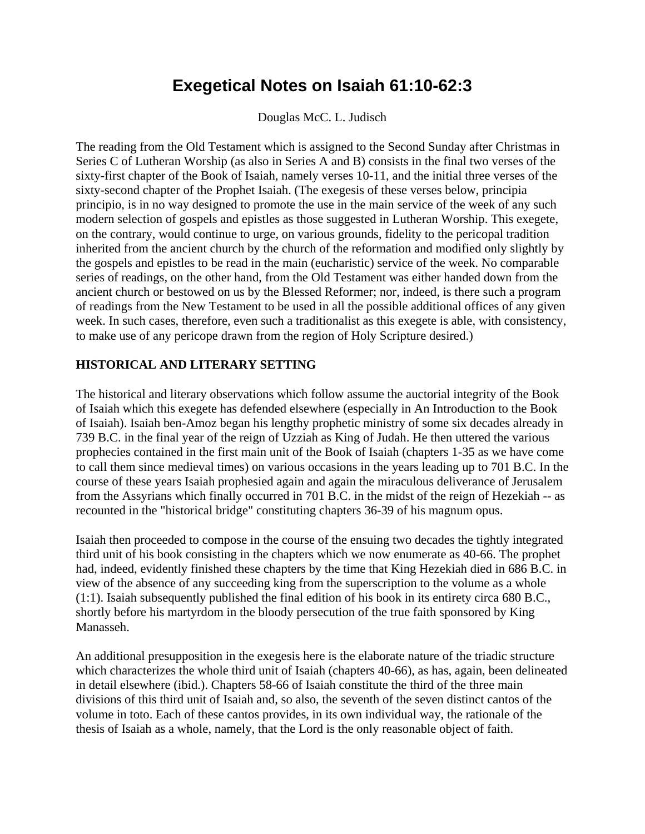## **Exegetical Notes on Isaiah 61:10-62:3**

Douglas McC. L. Judisch

The reading from the Old Testament which is assigned to the Second Sunday after Christmas in Series C of Lutheran Worship (as also in Series A and B) consists in the final two verses of the sixty-first chapter of the Book of Isaiah, namely verses 10-11, and the initial three verses of the sixty-second chapter of the Prophet Isaiah. (The exegesis of these verses below, principia principio, is in no way designed to promote the use in the main service of the week of any such modern selection of gospels and epistles as those suggested in Lutheran Worship. This exegete, on the contrary, would continue to urge, on various grounds, fidelity to the pericopal tradition inherited from the ancient church by the church of the reformation and modified only slightly by the gospels and epistles to be read in the main (eucharistic) service of the week. No comparable series of readings, on the other hand, from the Old Testament was either handed down from the ancient church or bestowed on us by the Blessed Reformer; nor, indeed, is there such a program of readings from the New Testament to be used in all the possible additional offices of any given week. In such cases, therefore, even such a traditionalist as this exegete is able, with consistency, to make use of any pericope drawn from the region of Holy Scripture desired.)

## **HISTORICAL AND LITERARY SETTING**

The historical and literary observations which follow assume the auctorial integrity of the Book of Isaiah which this exegete has defended elsewhere (especially in An Introduction to the Book of Isaiah). Isaiah ben-Amoz began his lengthy prophetic ministry of some six decades already in 739 B.C. in the final year of the reign of Uzziah as King of Judah. He then uttered the various prophecies contained in the first main unit of the Book of Isaiah (chapters 1-35 as we have come to call them since medieval times) on various occasions in the years leading up to 701 B.C. In the course of these years Isaiah prophesied again and again the miraculous deliverance of Jerusalem from the Assyrians which finally occurred in 701 B.C. in the midst of the reign of Hezekiah -- as recounted in the "historical bridge" constituting chapters 36-39 of his magnum opus.

Isaiah then proceeded to compose in the course of the ensuing two decades the tightly integrated third unit of his book consisting in the chapters which we now enumerate as 40-66. The prophet had, indeed, evidently finished these chapters by the time that King Hezekiah died in 686 B.C. in view of the absence of any succeeding king from the superscription to the volume as a whole (1:1). Isaiah subsequently published the final edition of his book in its entirety circa 680 B.C., shortly before his martyrdom in the bloody persecution of the true faith sponsored by King Manasseh.

An additional presupposition in the exegesis here is the elaborate nature of the triadic structure which characterizes the whole third unit of Isaiah (chapters 40-66), as has, again, been delineated in detail elsewhere (ibid.). Chapters 58-66 of Isaiah constitute the third of the three main divisions of this third unit of Isaiah and, so also, the seventh of the seven distinct cantos of the volume in toto. Each of these cantos provides, in its own individual way, the rationale of the thesis of Isaiah as a whole, namely, that the Lord is the only reasonable object of faith.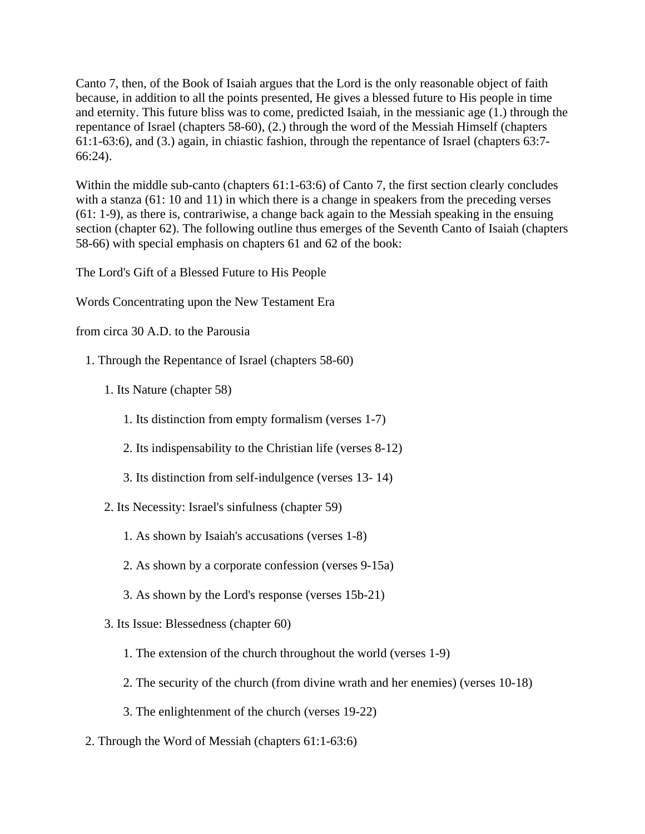Canto 7, then, of the Book of Isaiah argues that the Lord is the only reasonable object of faith because, in addition to all the points presented, He gives a blessed future to His people in time and eternity. This future bliss was to come, predicted Isaiah, in the messianic age (1.) through the repentance of Israel (chapters 58-60), (2.) through the word of the Messiah Himself (chapters 61:1-63:6), and (3.) again, in chiastic fashion, through the repentance of Israel (chapters 63:7- 66:24).

Within the middle sub-canto (chapters 61:1-63:6) of Canto 7, the first section clearly concludes with a stanza (61: 10 and 11) in which there is a change in speakers from the preceding verses (61: 1-9), as there is, contrariwise, a change back again to the Messiah speaking in the ensuing section (chapter 62). The following outline thus emerges of the Seventh Canto of Isaiah (chapters 58-66) with special emphasis on chapters 61 and 62 of the book:

The Lord's Gift of a Blessed Future to His People

Words Concentrating upon the New Testament Era

from circa 30 A.D. to the Parousia

- 1. Through the Repentance of Israel (chapters 58-60)
	- 1. Its Nature (chapter 58)
		- 1. Its distinction from empty formalism (verses 1-7)
		- 2. Its indispensability to the Christian life (verses 8-12)
		- 3. Its distinction from self-indulgence (verses 13- 14)
	- 2. Its Necessity: Israel's sinfulness (chapter 59)
		- 1. As shown by Isaiah's accusations (verses 1-8)
		- 2. As shown by a corporate confession (verses 9-15a)
		- 3. As shown by the Lord's response (verses 15b-21)
	- 3. Its Issue: Blessedness (chapter 60)
		- 1. The extension of the church throughout the world (verses 1-9)
		- 2. The security of the church (from divine wrath and her enemies) (verses 10-18)
		- 3. The enlightenment of the church (verses 19-22)
- 2. Through the Word of Messiah (chapters 61:1-63:6)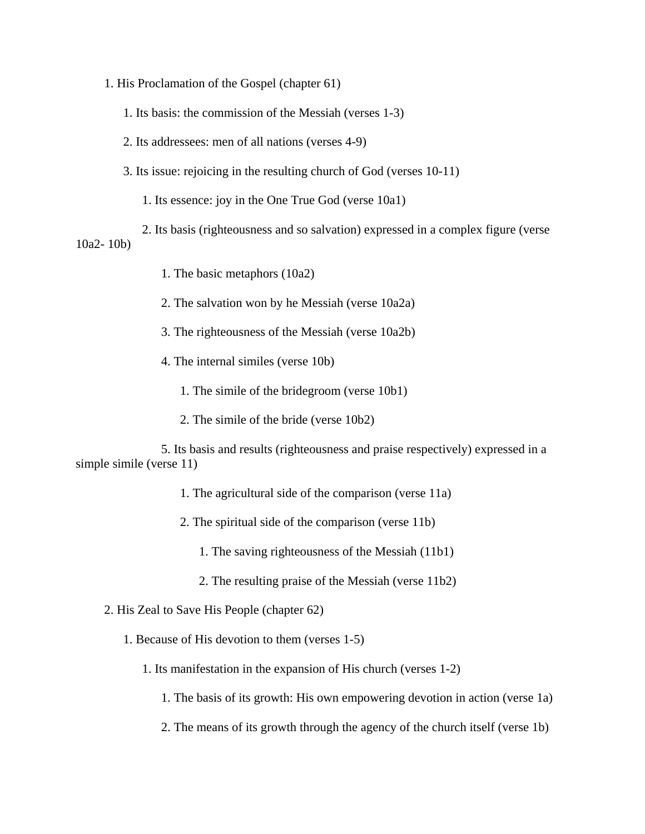- 1. His Proclamation of the Gospel (chapter 61)
	- 1. Its basis: the commission of the Messiah (verses 1-3)
	- 2. Its addressees: men of all nations (verses 4-9)
	- 3. Its issue: rejoicing in the resulting church of God (verses 10-11)
		- 1. Its essence: joy in the One True God (verse 10a1)
- 2. Its basis (righteousness and so salvation) expressed in a complex figure (verse 10a2- 10b)
	- 1. The basic metaphors (10a2)
	- 2. The salvation won by he Messiah (verse 10a2a)
	- 3. The righteousness of the Messiah (verse 10a2b)
	- 4. The internal similes (verse 10b)
		- 1. The simile of the bridegroom (verse 10b1)
		- 2. The simile of the bride (verse 10b2)

 5. Its basis and results (righteousness and praise respectively) expressed in a simple simile (verse 11)

- 1. The agricultural side of the comparison (verse 11a)
- 2. The spiritual side of the comparison (verse 11b)
	- 1. The saving righteousness of the Messiah (11b1)
	- 2. The resulting praise of the Messiah (verse 11b2)
- 2. His Zeal to Save His People (chapter 62)
	- 1. Because of His devotion to them (verses 1-5)
		- 1. Its manifestation in the expansion of His church (verses 1-2)
			- 1. The basis of its growth: His own empowering devotion in action (verse 1a)
			- 2. The means of its growth through the agency of the church itself (verse 1b)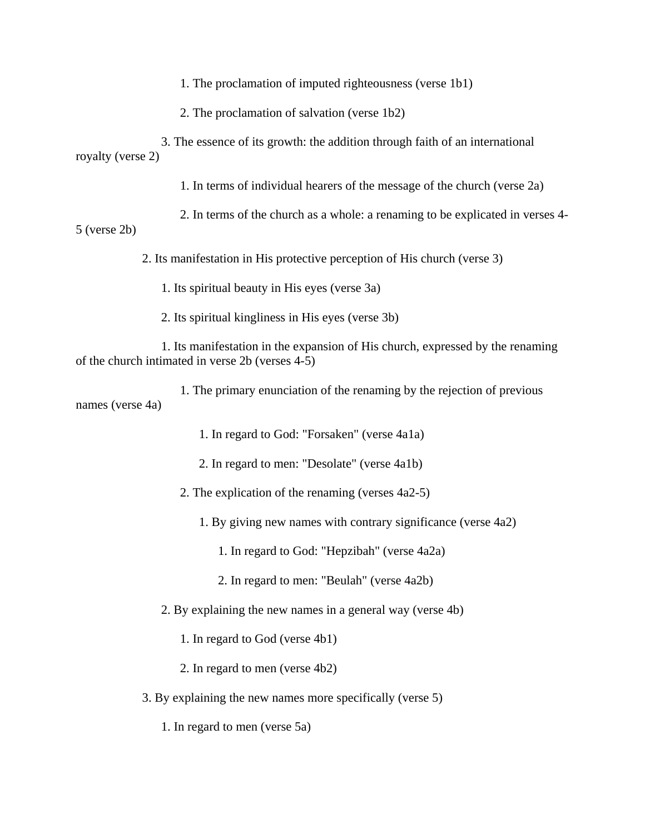1. The proclamation of imputed righteousness (verse 1b1)

2. The proclamation of salvation (verse 1b2)

 3. The essence of its growth: the addition through faith of an international royalty (verse 2)

1. In terms of individual hearers of the message of the church (verse 2a)

2. In terms of the church as a whole: a renaming to be explicated in verses 4-

5 (verse 2b)

2. Its manifestation in His protective perception of His church (verse 3)

1. Its spiritual beauty in His eyes (verse 3a)

2. Its spiritual kingliness in His eyes (verse 3b)

 1. Its manifestation in the expansion of His church, expressed by the renaming of the church intimated in verse 2b (verses 4-5)

 1. The primary enunciation of the renaming by the rejection of previous names (verse 4a)

1. In regard to God: "Forsaken" (verse 4a1a)

2. In regard to men: "Desolate" (verse 4a1b)

2. The explication of the renaming (verses 4a2-5)

1. By giving new names with contrary significance (verse 4a2)

1. In regard to God: "Hepzibah" (verse 4a2a)

2. In regard to men: "Beulah" (verse 4a2b)

2. By explaining the new names in a general way (verse 4b)

1. In regard to God (verse 4b1)

2. In regard to men (verse 4b2)

3. By explaining the new names more specifically (verse 5)

1. In regard to men (verse 5a)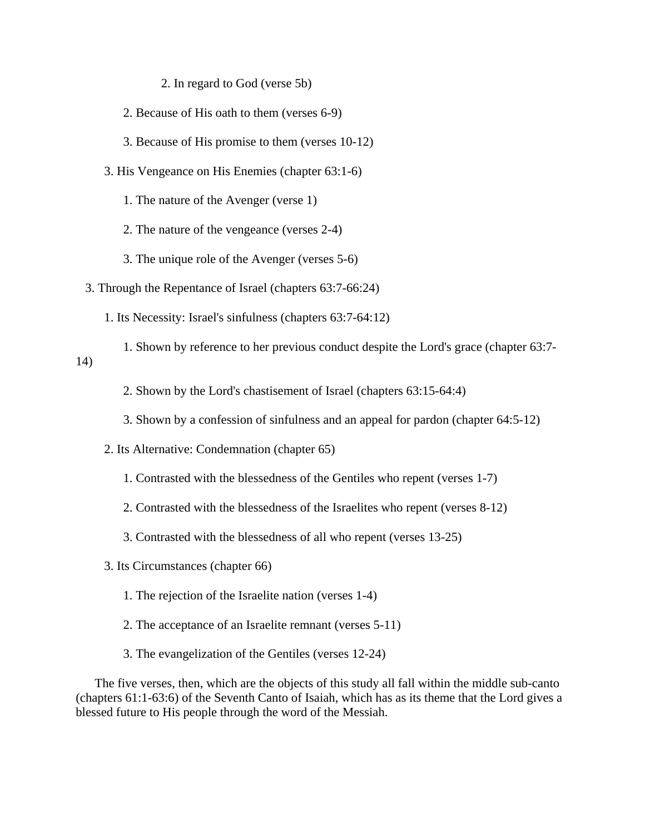2. In regard to God (verse 5b)

- 2. Because of His oath to them (verses 6-9)
- 3. Because of His promise to them (verses 10-12)
- 3. His Vengeance on His Enemies (chapter 63:1-6)
	- 1. The nature of the Avenger (verse 1)
	- 2. The nature of the vengeance (verses 2-4)
	- 3. The unique role of the Avenger (verses 5-6)
- 3. Through the Repentance of Israel (chapters 63:7-66:24)
	- 1. Its Necessity: Israel's sinfulness (chapters 63:7-64:12)
- 1. Shown by reference to her previous conduct despite the Lord's grace (chapter 63:7- 14)
	- 2. Shown by the Lord's chastisement of Israel (chapters 63:15-64:4)
	- 3. Shown by a confession of sinfulness and an appeal for pardon (chapter 64:5-12)
	- 2. Its Alternative: Condemnation (chapter 65)
		- 1. Contrasted with the blessedness of the Gentiles who repent (verses 1-7)
		- 2. Contrasted with the blessedness of the Israelites who repent (verses 8-12)
		- 3. Contrasted with the blessedness of all who repent (verses 13-25)
	- 3. Its Circumstances (chapter 66)
		- 1. The rejection of the Israelite nation (verses 1-4)
		- 2. The acceptance of an Israelite remnant (verses 5-11)
		- 3. The evangelization of the Gentiles (verses 12-24)

 The five verses, then, which are the objects of this study all fall within the middle sub-canto (chapters 61:1-63:6) of the Seventh Canto of Isaiah, which has as its theme that the Lord gives a blessed future to His people through the word of the Messiah.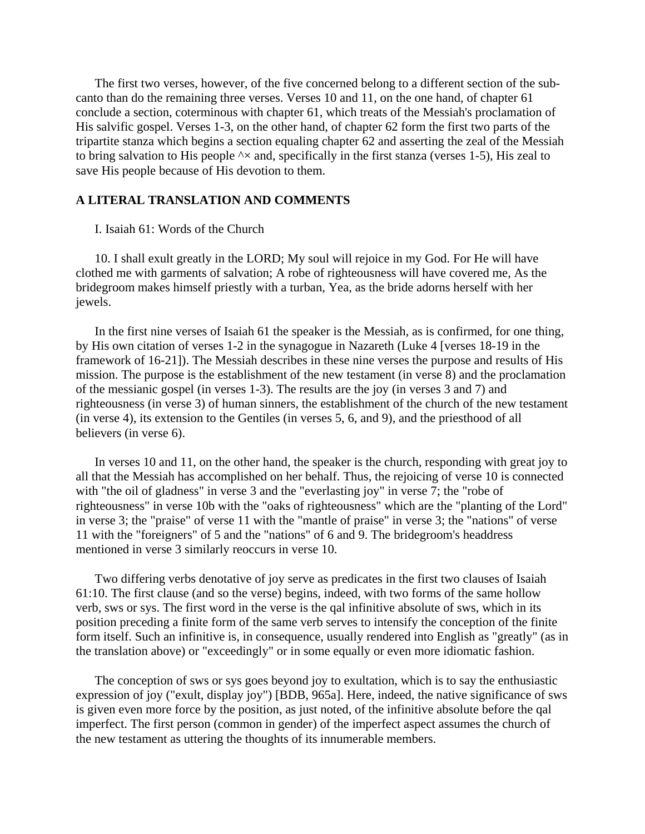The first two verses, however, of the five concerned belong to a different section of the subcanto than do the remaining three verses. Verses 10 and 11, on the one hand, of chapter 61 conclude a section, coterminous with chapter 61, which treats of the Messiah's proclamation of His salvific gospel. Verses 1-3, on the other hand, of chapter 62 form the first two parts of the tripartite stanza which begins a section equaling chapter 62 and asserting the zeal of the Messiah to bring salvation to His people  $\lambda \times$  and, specifically in the first stanza (verses 1-5), His zeal to save His people because of His devotion to them.

## **A LITERAL TRANSLATION AND COMMENTS**

## I. Isaiah 61: Words of the Church

 10. I shall exult greatly in the LORD; My soul will rejoice in my God. For He will have clothed me with garments of salvation; A robe of righteousness will have covered me, As the bridegroom makes himself priestly with a turban, Yea, as the bride adorns herself with her jewels.

 In the first nine verses of Isaiah 61 the speaker is the Messiah, as is confirmed, for one thing, by His own citation of verses 1-2 in the synagogue in Nazareth (Luke 4 [verses 18-19 in the framework of 16-21]). The Messiah describes in these nine verses the purpose and results of His mission. The purpose is the establishment of the new testament (in verse 8) and the proclamation of the messianic gospel (in verses 1-3). The results are the joy (in verses 3 and 7) and righteousness (in verse 3) of human sinners, the establishment of the church of the new testament (in verse 4), its extension to the Gentiles (in verses 5, 6, and 9), and the priesthood of all believers (in verse 6).

 In verses 10 and 11, on the other hand, the speaker is the church, responding with great joy to all that the Messiah has accomplished on her behalf. Thus, the rejoicing of verse 10 is connected with "the oil of gladness" in verse 3 and the "everlasting joy" in verse 7; the "robe of righteousness" in verse 10b with the "oaks of righteousness" which are the "planting of the Lord" in verse 3; the "praise" of verse 11 with the "mantle of praise" in verse 3; the "nations" of verse 11 with the "foreigners" of 5 and the "nations" of 6 and 9. The bridegroom's headdress mentioned in verse 3 similarly reoccurs in verse 10.

 Two differing verbs denotative of joy serve as predicates in the first two clauses of Isaiah 61:10. The first clause (and so the verse) begins, indeed, with two forms of the same hollow verb, sws or sys. The first word in the verse is the qal infinitive absolute of sws, which in its position preceding a finite form of the same verb serves to intensify the conception of the finite form itself. Such an infinitive is, in consequence, usually rendered into English as "greatly" (as in the translation above) or "exceedingly" or in some equally or even more idiomatic fashion.

 The conception of sws or sys goes beyond joy to exultation, which is to say the enthusiastic expression of joy ("exult, display joy") [BDB, 965a]. Here, indeed, the native significance of sws is given even more force by the position, as just noted, of the infinitive absolute before the qal imperfect. The first person (common in gender) of the imperfect aspect assumes the church of the new testament as uttering the thoughts of its innumerable members.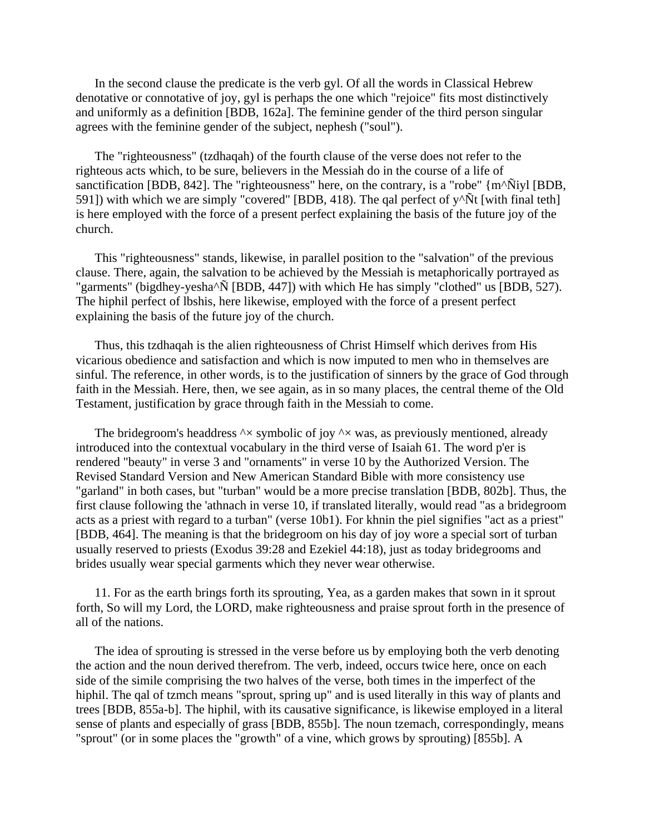In the second clause the predicate is the verb gyl. Of all the words in Classical Hebrew denotative or connotative of joy, gyl is perhaps the one which "rejoice" fits most distinctively and uniformly as a definition [BDB, 162a]. The feminine gender of the third person singular agrees with the feminine gender of the subject, nephesh ("soul").

 The "righteousness" (tzdhaqah) of the fourth clause of the verse does not refer to the righteous acts which, to be sure, believers in the Messiah do in the course of a life of sanctification [BDB, 842]. The "righteousness" here, on the contrary, is a "robe" {m^Ñiyl [BDB, 591]) with which we are simply "covered" [BDB, 418). The qal perfect of  $y^{\wedge}$ Ñt [with final teth] is here employed with the force of a present perfect explaining the basis of the future joy of the church.

 This "righteousness" stands, likewise, in parallel position to the "salvation" of the previous clause. There, again, the salvation to be achieved by the Messiah is metaphorically portrayed as "garments" (bigdhey-yesha^Ñ [BDB, 447]) with which He has simply "clothed" us [BDB, 527). The hiphil perfect of lbshis, here likewise, employed with the force of a present perfect explaining the basis of the future joy of the church.

 Thus, this tzdhaqah is the alien righteousness of Christ Himself which derives from His vicarious obedience and satisfaction and which is now imputed to men who in themselves are sinful. The reference, in other words, is to the justification of sinners by the grace of God through faith in the Messiah. Here, then, we see again, as in so many places, the central theme of the Old Testament, justification by grace through faith in the Messiah to come.

The bridegroom's headdress  $\lambda \times$  symbolic of joy  $\lambda \times$  was, as previously mentioned, already introduced into the contextual vocabulary in the third verse of Isaiah 61. The word p'er is rendered "beauty" in verse 3 and "ornaments" in verse 10 by the Authorized Version. The Revised Standard Version and New American Standard Bible with more consistency use "garland" in both cases, but "turban" would be a more precise translation [BDB, 802b]. Thus, the first clause following the 'athnach in verse 10, if translated literally, would read "as a bridegroom acts as a priest with regard to a turban" (verse 10b1). For khnin the piel signifies "act as a priest" [BDB, 464]. The meaning is that the bridegroom on his day of joy wore a special sort of turban usually reserved to priests (Exodus 39:28 and Ezekiel 44:18), just as today bridegrooms and brides usually wear special garments which they never wear otherwise.

 11. For as the earth brings forth its sprouting, Yea, as a garden makes that sown in it sprout forth, So will my Lord, the LORD, make righteousness and praise sprout forth in the presence of all of the nations.

 The idea of sprouting is stressed in the verse before us by employing both the verb denoting the action and the noun derived therefrom. The verb, indeed, occurs twice here, once on each side of the simile comprising the two halves of the verse, both times in the imperfect of the hiphil. The qal of tzmch means "sprout, spring up" and is used literally in this way of plants and trees [BDB, 855a-b]. The hiphil, with its causative significance, is likewise employed in a literal sense of plants and especially of grass [BDB, 855b]. The noun tzemach, correspondingly, means "sprout" (or in some places the "growth" of a vine, which grows by sprouting) [855b]. A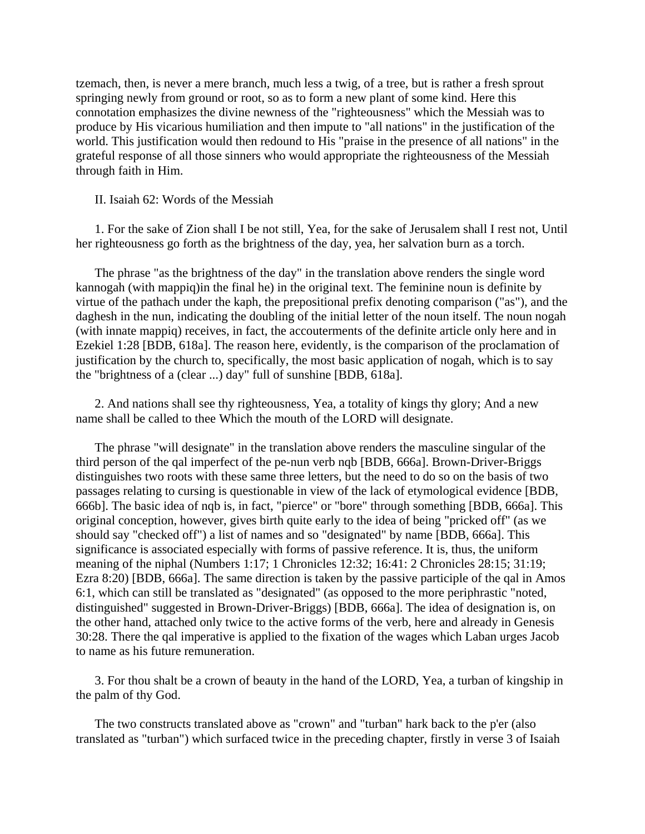tzemach, then, is never a mere branch, much less a twig, of a tree, but is rather a fresh sprout springing newly from ground or root, so as to form a new plant of some kind. Here this connotation emphasizes the divine newness of the "righteousness" which the Messiah was to produce by His vicarious humiliation and then impute to "all nations" in the justification of the world. This justification would then redound to His "praise in the presence of all nations" in the grateful response of all those sinners who would appropriate the righteousness of the Messiah through faith in Him.

II. Isaiah 62: Words of the Messiah

 1. For the sake of Zion shall I be not still, Yea, for the sake of Jerusalem shall I rest not, Until her righteousness go forth as the brightness of the day, yea, her salvation burn as a torch.

 The phrase "as the brightness of the day" in the translation above renders the single word kannogah (with mappiq)in the final he) in the original text. The feminine noun is definite by virtue of the pathach under the kaph, the prepositional prefix denoting comparison ("as"), and the daghesh in the nun, indicating the doubling of the initial letter of the noun itself. The noun nogah (with innate mappiq) receives, in fact, the accouterments of the definite article only here and in Ezekiel 1:28 [BDB, 618a]. The reason here, evidently, is the comparison of the proclamation of justification by the church to, specifically, the most basic application of nogah, which is to say the "brightness of a (clear ...) day" full of sunshine [BDB, 618a].

 2. And nations shall see thy righteousness, Yea, a totality of kings thy glory; And a new name shall be called to thee Which the mouth of the LORD will designate.

 The phrase "will designate" in the translation above renders the masculine singular of the third person of the qal imperfect of the pe-nun verb nqb [BDB, 666a]. Brown-Driver-Briggs distinguishes two roots with these same three letters, but the need to do so on the basis of two passages relating to cursing is questionable in view of the lack of etymological evidence [BDB, 666b]. The basic idea of nqb is, in fact, "pierce" or "bore" through something [BDB, 666a]. This original conception, however, gives birth quite early to the idea of being "pricked off" (as we should say "checked off") a list of names and so "designated" by name [BDB, 666a]. This significance is associated especially with forms of passive reference. It is, thus, the uniform meaning of the niphal (Numbers 1:17; 1 Chronicles 12:32; 16:41: 2 Chronicles 28:15; 31:19; Ezra 8:20) [BDB, 666a]. The same direction is taken by the passive participle of the qal in Amos 6:1, which can still be translated as "designated" (as opposed to the more periphrastic "noted, distinguished" suggested in Brown-Driver-Briggs) [BDB, 666a]. The idea of designation is, on the other hand, attached only twice to the active forms of the verb, here and already in Genesis 30:28. There the qal imperative is applied to the fixation of the wages which Laban urges Jacob to name as his future remuneration.

 3. For thou shalt be a crown of beauty in the hand of the LORD, Yea, a turban of kingship in the palm of thy God.

 The two constructs translated above as "crown" and "turban" hark back to the p'er (also translated as "turban") which surfaced twice in the preceding chapter, firstly in verse 3 of Isaiah